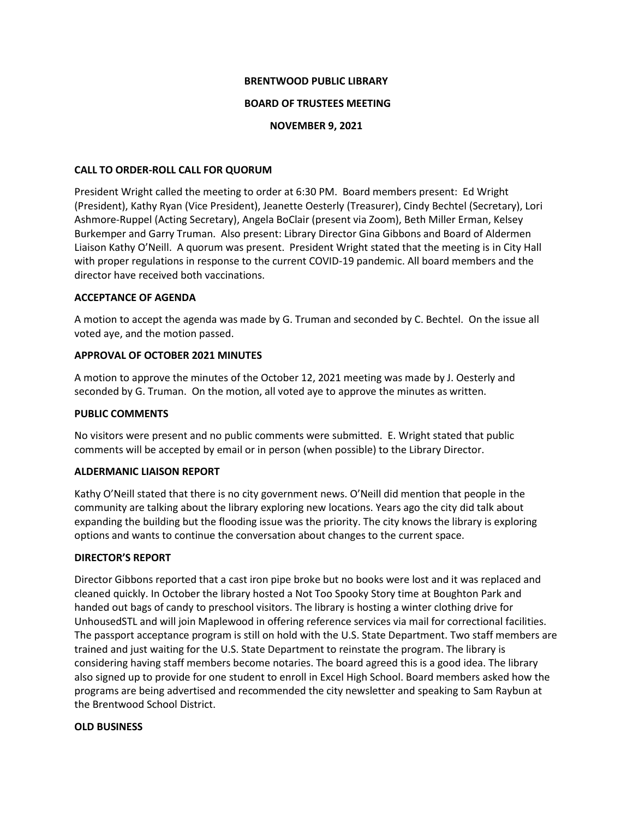#### **BRENTWOOD PUBLIC LIBRARY**

### **BOARD OF TRUSTEES MEETING**

### **NOVEMBER 9, 2021**

### **CALL TO ORDER-ROLL CALL FOR QUORUM**

President Wright called the meeting to order at 6:30 PM. Board members present: Ed Wright (President), Kathy Ryan (Vice President), Jeanette Oesterly (Treasurer), Cindy Bechtel (Secretary), Lori Ashmore-Ruppel (Acting Secretary), Angela BoClair (present via Zoom), Beth Miller Erman, Kelsey Burkemper and Garry Truman. Also present: Library Director Gina Gibbons and Board of Aldermen Liaison Kathy O'Neill. A quorum was present. President Wright stated that the meeting is in City Hall with proper regulations in response to the current COVID-19 pandemic. All board members and the director have received both vaccinations.

### **ACCEPTANCE OF AGENDA**

A motion to accept the agenda was made by G. Truman and seconded by C. Bechtel. On the issue all voted aye, and the motion passed.

# **APPROVAL OF OCTOBER 2021 MINUTES**

A motion to approve the minutes of the October 12, 2021 meeting was made by J. Oesterly and seconded by G. Truman. On the motion, all voted aye to approve the minutes as written.

### **PUBLIC COMMENTS**

No visitors were present and no public comments were submitted. E. Wright stated that public comments will be accepted by email or in person (when possible) to the Library Director.

# **ALDERMANIC LIAISON REPORT**

Kathy O'Neill stated that there is no city government news. O'Neill did mention that people in the community are talking about the library exploring new locations. Years ago the city did talk about expanding the building but the flooding issue was the priority. The city knows the library is exploring options and wants to continue the conversation about changes to the current space.

#### **DIRECTOR'S REPORT**

Director Gibbons reported that a cast iron pipe broke but no books were lost and it was replaced and cleaned quickly. In October the library hosted a Not Too Spooky Story time at Boughton Park and handed out bags of candy to preschool visitors. The library is hosting a winter clothing drive for UnhousedSTL and will join Maplewood in offering reference services via mail for correctional facilities. The passport acceptance program is still on hold with the U.S. State Department. Two staff members are trained and just waiting for the U.S. State Department to reinstate the program. The library is considering having staff members become notaries. The board agreed this is a good idea. The library also signed up to provide for one student to enroll in Excel High School. Board members asked how the programs are being advertised and recommended the city newsletter and speaking to Sam Raybun at the Brentwood School District.

#### **OLD BUSINESS**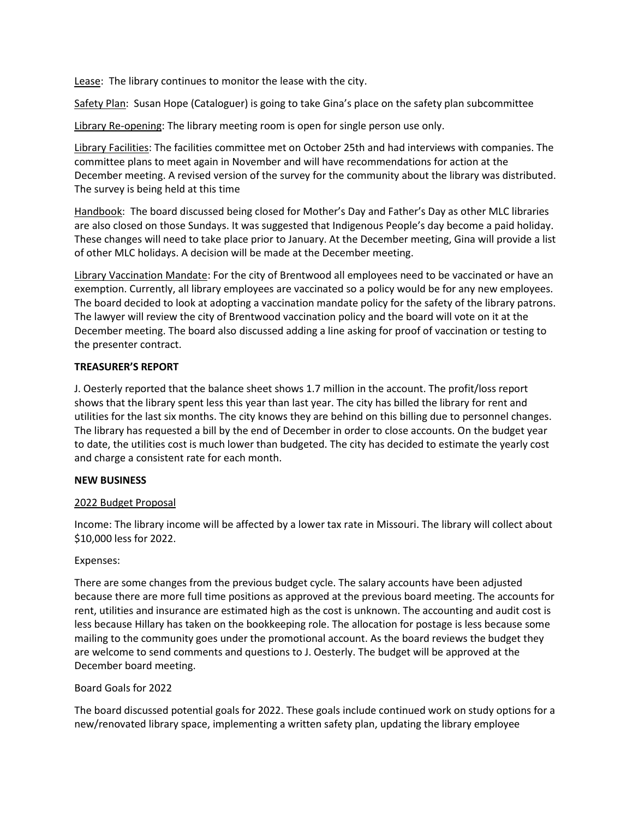Lease: The library continues to monitor the lease with the city.

Safety Plan: Susan Hope (Cataloguer) is going to take Gina's place on the safety plan subcommittee

Library Re-opening: The library meeting room is open for single person use only.

Library Facilities: The facilities committee met on October 25th and had interviews with companies. The committee plans to meet again in November and will have recommendations for action at the December meeting. A revised version of the survey for the community about the library was distributed. The survey is being held at this time

Handbook: The board discussed being closed for Mother's Day and Father's Day as other MLC libraries are also closed on those Sundays. It was suggested that Indigenous People's day become a paid holiday. These changes will need to take place prior to January. At the December meeting, Gina will provide a list of other MLC holidays. A decision will be made at the December meeting.

Library Vaccination Mandate: For the city of Brentwood all employees need to be vaccinated or have an exemption. Currently, all library employees are vaccinated so a policy would be for any new employees. The board decided to look at adopting a vaccination mandate policy for the safety of the library patrons. The lawyer will review the city of Brentwood vaccination policy and the board will vote on it at the December meeting. The board also discussed adding a line asking for proof of vaccination or testing to the presenter contract.

# **TREASURER'S REPORT**

J. Oesterly reported that the balance sheet shows 1.7 million in the account. The profit/loss report shows that the library spent less this year than last year. The city has billed the library for rent and utilities for the last six months. The city knows they are behind on this billing due to personnel changes. The library has requested a bill by the end of December in order to close accounts. On the budget year to date, the utilities cost is much lower than budgeted. The city has decided to estimate the yearly cost and charge a consistent rate for each month.

# **NEW BUSINESS**

# 2022 Budget Proposal

Income: The library income will be affected by a lower tax rate in Missouri. The library will collect about \$10,000 less for 2022.

# Expenses:

There are some changes from the previous budget cycle. The salary accounts have been adjusted because there are more full time positions as approved at the previous board meeting. The accounts for rent, utilities and insurance are estimated high as the cost is unknown. The accounting and audit cost is less because Hillary has taken on the bookkeeping role. The allocation for postage is less because some mailing to the community goes under the promotional account. As the board reviews the budget they are welcome to send comments and questions to J. Oesterly. The budget will be approved at the December board meeting.

# Board Goals for 2022

The board discussed potential goals for 2022. These goals include continued work on study options for a new/renovated library space, implementing a written safety plan, updating the library employee